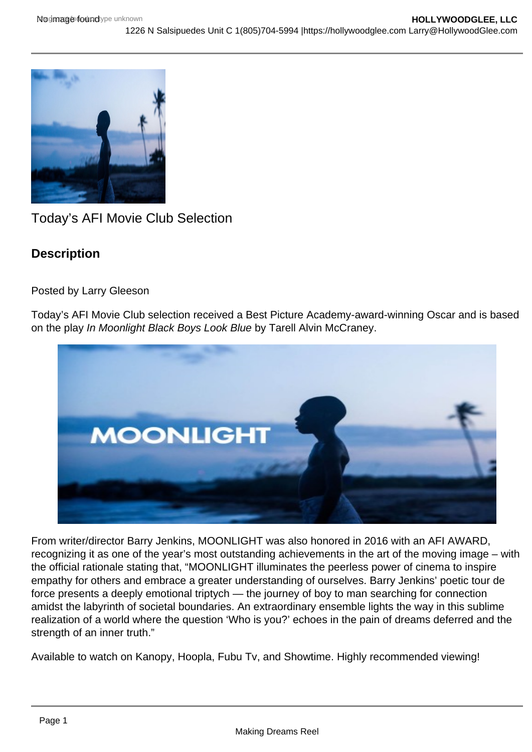

Today's AFI Movie Club Selection

# **Description**

Posted by Larry Gleeson

Today's AFI Movie Club selection received a Best Picture Academy-award-winning Oscar and is based on the play In Moonlight Black Boys Look Blue by Tarell Alvin McCraney.



From writer/director Barry Jenkins, MOONLIGHT was also honored in 2016 with an AFI AWARD, recognizing it as one of the year's most outstanding achievements in the art of the moving image – with the official rationale stating that, "MOONLIGHT illuminates the peerless power of cinema to inspire empathy for others and embrace a greater understanding of ourselves. Barry Jenkins' poetic tour de force presents a deeply emotional triptych — the journey of boy to man searching for connection amidst the labyrinth of societal boundaries. An extraordinary ensemble lights the way in this sublime realization of a world where the question 'Who is you?' echoes in the pain of dreams deferred and the strength of an inner truth."

Available to watch on Kanopy, Hoopla, Fubu Tv, and Showtime. Highly recommended viewing!